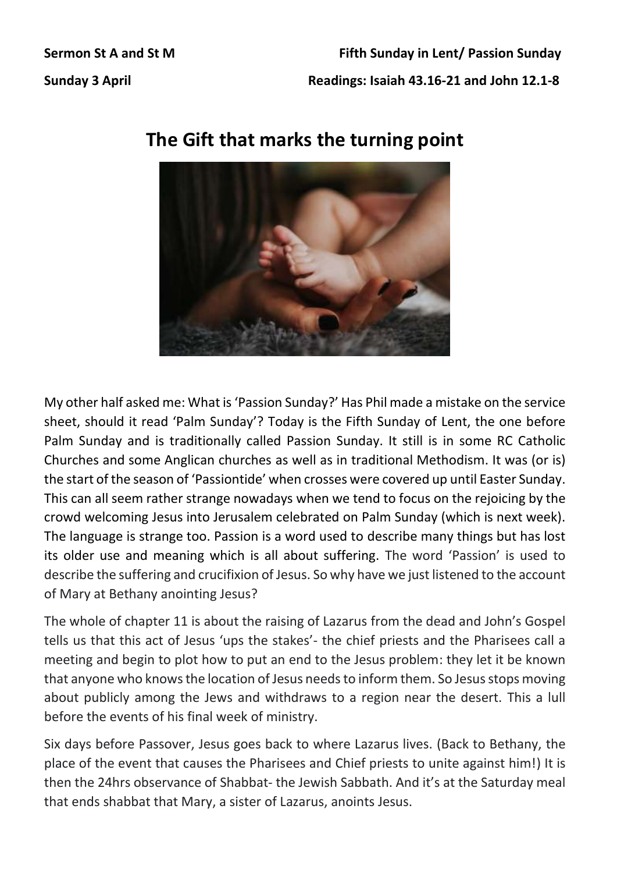## **The Gift that marks the turning point**

My other half asked me: What is 'Passion Sunday?' Has Phil made a mistake on the service sheet, should it read 'Palm Sunday'? Today is the Fifth Sunday of Lent, the one before Palm Sunday and is traditionally called Passion Sunday. It still is in some RC Catholic Churches and some Anglican churches as well as in traditional Methodism. It was (or is) the start of the season of 'Passiontide' when crosses were covered up until Easter Sunday. This can all seem rather strange nowadays when we tend to focus on the rejoicing by the crowd welcoming Jesus into Jerusalem celebrated on Palm Sunday (which is next week). The language is strange too. Passion is a word used to describe many things but has lost its older use and meaning which is all about suffering. The word 'Passion' is used to describe the suffering and crucifixion of Jesus. So why have we just listened to the account of Mary at Bethany anointing Jesus?

The whole of chapter 11 is about the raising of Lazarus from the dead and John's Gospel tells us that this act of Jesus 'ups the stakes'- the chief priests and the Pharisees call a meeting and begin to plot how to put an end to the Jesus problem: they let it be known that anyone who knows the location of Jesus needs to inform them. So Jesus stops moving about publicly among the Jews and withdraws to a region near the desert. This a lull before the events of his final week of ministry.

Six days before Passover, Jesus goes back to where Lazarus lives. (Back to Bethany, the place of the event that causes the Pharisees and Chief priests to unite against him!) It is then the 24hrs observance of Shabbat- the Jewish Sabbath. And it's at the Saturday meal that ends shabbat that Mary, a sister of Lazarus, anoints Jesus.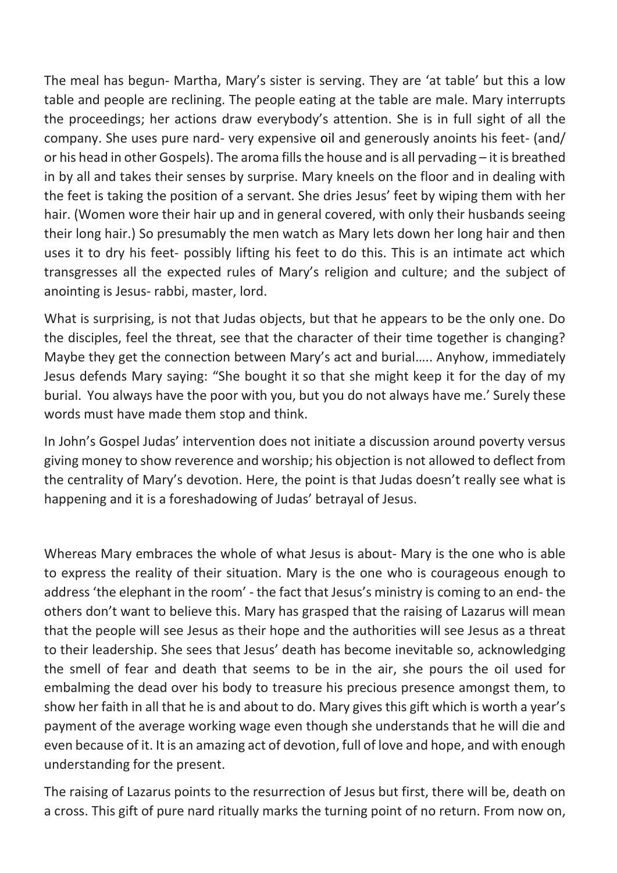The meal has begun- Martha, Mary's sister is serving. They are 'at table' but this a low table and people are reclining. The people eating at the table are male. Mary interrupts the proceedings; her actions draw everybody's attention. She is in full sight of all the company. She uses pure nard- very expensive oil and generously anoints his feet- (and/ or his head in other Gospels). The aroma fills the house and is all pervading – it is breathed in by all and takes their senses by surprise. Mary kneels on the floor and in dealing with the feet is taking the position of a servant. She dries Jesus' feet by wiping them with her hair. (Women wore their hair up and in general covered, with only their husbands seeing their long hair.) So presumably the men watch as Mary lets down her long hair and then uses it to dry his feet- possibly lifting his feet to do this. This is an intimate act which transgresses all the expected rules of Mary's religion and culture; and the subject of anointing is Jesus- rabbi, master, lord.

What is surprising, is not that Judas objects, but that he appears to be the only one. Do the disciples, feel the threat, see that the character of their time together is changing? Maybe they get the connection between Mary's act and burial….. Anyhow, immediately Jesus defends Mary saying: "She bought it so that she might keep it for the day of my burial. You always have the poor with you, but you do not always have me.' Surely these words must have made them stop and think.

In John's Gospel Judas' intervention does not initiate a discussion around poverty versus giving money to show reverence and worship; his objection is not allowed to deflect from the centrality of Mary's devotion. Here, the point is that Judas doesn't really see what is happening and it is a foreshadowing of Judas' betrayal of Jesus.

Whereas Mary embraces the whole of what Jesus is about- Mary is the one who is able to express the reality of their situation. Mary is the one who is courageous enough to address 'the elephant in the room' - the fact that Jesus's ministry is coming to an end- the others don't want to believe this. Mary has grasped that the raising of Lazarus will mean that the people will see Jesus as their hope and the authorities will see Jesus as a threat to their leadership. She sees that Jesus' death has become inevitable so, acknowledging the smell of fear and death that seems to be in the air, she pours the oil used for embalming the dead over his body to treasure his precious presence amongst them, to show her faith in all that he is and about to do. Mary gives this gift which is worth a year's payment of the average working wage even though she understands that he will die and even because of it. It is an amazing act of devotion, full of love and hope, and with enough understanding for the present.

The raising of Lazarus points to the resurrection of Jesus but first, there will be, death on a cross. This gift of pure nard ritually marks the turning point of no return. From now on,